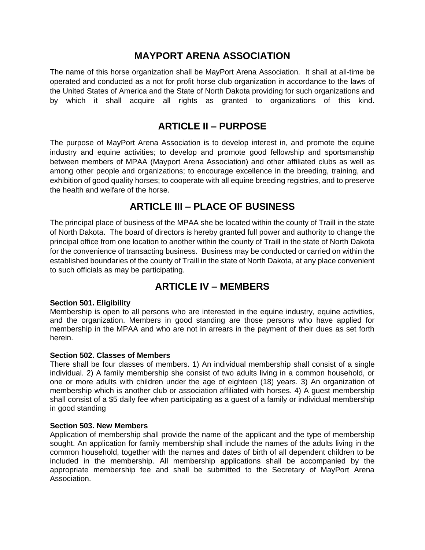# **MAYPORT ARENA ASSOCIATION**

The name of this horse organization shall be MayPort Arena Association. It shall at all-time be operated and conducted as a not for profit horse club organization in accordance to the laws of the United States of America and the State of North Dakota providing for such organizations and by which it shall acquire all rights as granted to organizations of this kind.

# **ARTICLE II – PURPOSE**

The purpose of MayPort Arena Association is to develop interest in, and promote the equine industry and equine activities; to develop and promote good fellowship and sportsmanship between members of MPAA (Mayport Arena Association) and other affiliated clubs as well as among other people and organizations; to encourage excellence in the breeding, training, and exhibition of good quality horses; to cooperate with all equine breeding registries, and to preserve the health and welfare of the horse.

# **ARTICLE III – PLACE OF BUSINESS**

The principal place of business of the MPAA she be located within the county of Traill in the state of North Dakota. The board of directors is hereby granted full power and authority to change the principal office from one location to another within the county of Traill in the state of North Dakota for the convenience of transacting business. Business may be conducted or carried on within the established boundaries of the county of Traill in the state of North Dakota, at any place convenient to such officials as may be participating.

# **ARTICLE IV – MEMBERS**

### **Section 501. Eligibility**

Membership is open to all persons who are interested in the equine industry, equine activities, and the organization. Members in good standing are those persons who have applied for membership in the MPAA and who are not in arrears in the payment of their dues as set forth herein.

# **Section 502. Classes of Members**

There shall be four classes of members. 1) An individual membership shall consist of a single individual. 2) A family membership she consist of two adults living in a common household, or one or more adults with children under the age of eighteen (18) years. 3) An organization of membership which is another club or association affiliated with horses. 4) A guest membership shall consist of a \$5 daily fee when participating as a guest of a family or individual membership in good standing

### **Section 503. New Members**

Application of membership shall provide the name of the applicant and the type of membership sought. An application for family membership shall include the names of the adults living in the common household, together with the names and dates of birth of all dependent children to be included in the membership. All membership applications shall be accompanied by the appropriate membership fee and shall be submitted to the Secretary of MayPort Arena Association.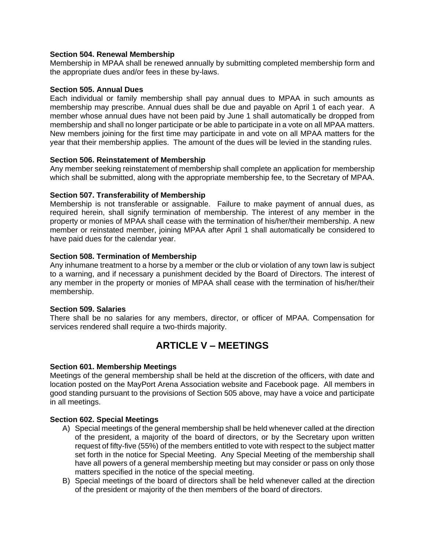# **Section 504. Renewal Membership**

Membership in MPAA shall be renewed annually by submitting completed membership form and the appropriate dues and/or fees in these by-laws.

### **Section 505. Annual Dues**

Each individual or family membership shall pay annual dues to MPAA in such amounts as membership may prescribe. Annual dues shall be due and payable on April 1 of each year. A member whose annual dues have not been paid by June 1 shall automatically be dropped from membership and shall no longer participate or be able to participate in a vote on all MPAA matters. New members joining for the first time may participate in and vote on all MPAA matters for the year that their membership applies. The amount of the dues will be levied in the standing rules.

# **Section 506. Reinstatement of Membership**

Any member seeking reinstatement of membership shall complete an application for membership which shall be submitted, along with the appropriate membership fee, to the Secretary of MPAA.

# **Section 507. Transferability of Membership**

Membership is not transferable or assignable. Failure to make payment of annual dues, as required herein, shall signify termination of membership. The interest of any member in the property or monies of MPAA shall cease with the termination of his/her/their membership. A new member or reinstated member, joining MPAA after April 1 shall automatically be considered to have paid dues for the calendar year.

# **Section 508. Termination of Membership**

Any inhumane treatment to a horse by a member or the club or violation of any town law is subject to a warning, and if necessary a punishment decided by the Board of Directors. The interest of any member in the property or monies of MPAA shall cease with the termination of his/her/their membership.

# **Section 509. Salaries**

There shall be no salaries for any members, director, or officer of MPAA. Compensation for services rendered shall require a two-thirds majority.

# **ARTICLE V – MEETINGS**

### **Section 601. Membership Meetings**

Meetings of the general membership shall be held at the discretion of the officers, with date and location posted on the MayPort Arena Association website and Facebook page. All members in good standing pursuant to the provisions of Section 505 above, may have a voice and participate in all meetings.

### **Section 602. Special Meetings**

- A) Special meetings of the general membership shall be held whenever called at the direction of the president, a majority of the board of directors, or by the Secretary upon written request of fifty-five (55%) of the members entitled to vote with respect to the subject matter set forth in the notice for Special Meeting. Any Special Meeting of the membership shall have all powers of a general membership meeting but may consider or pass on only those matters specified in the notice of the special meeting.
- B) Special meetings of the board of directors shall be held whenever called at the direction of the president or majority of the then members of the board of directors.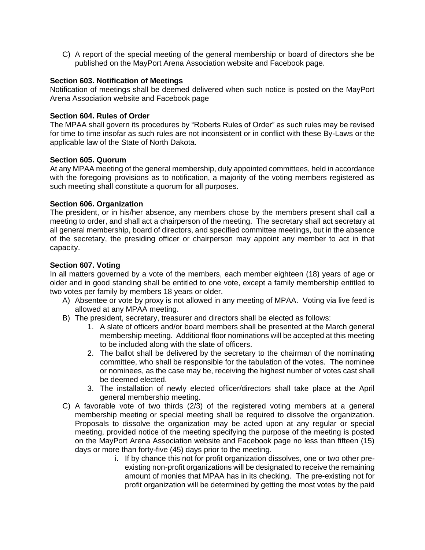C) A report of the special meeting of the general membership or board of directors she be published on the MayPort Arena Association website and Facebook page.

# **Section 603. Notification of Meetings**

Notification of meetings shall be deemed delivered when such notice is posted on the MayPort Arena Association website and Facebook page

### **Section 604. Rules of Order**

The MPAA shall govern its procedures by "Roberts Rules of Order" as such rules may be revised for time to time insofar as such rules are not inconsistent or in conflict with these By-Laws or the applicable law of the State of North Dakota.

### **Section 605. Quorum**

At any MPAA meeting of the general membership, duly appointed committees, held in accordance with the foregoing provisions as to notification, a majority of the voting members registered as such meeting shall constitute a quorum for all purposes.

# **Section 606. Organization**

The president, or in his/her absence, any members chose by the members present shall call a meeting to order, and shall act a chairperson of the meeting. The secretary shall act secretary at all general membership, board of directors, and specified committee meetings, but in the absence of the secretary, the presiding officer or chairperson may appoint any member to act in that capacity.

# **Section 607. Voting**

In all matters governed by a vote of the members, each member eighteen (18) years of age or older and in good standing shall be entitled to one vote, except a family membership entitled to two votes per family by members 18 years or older.

- A) Absentee or vote by proxy is not allowed in any meeting of MPAA. Voting via live feed is allowed at any MPAA meeting.
- B) The president, secretary, treasurer and directors shall be elected as follows:
	- 1. A slate of officers and/or board members shall be presented at the March general membership meeting. Additional floor nominations will be accepted at this meeting to be included along with the slate of officers.
	- 2. The ballot shall be delivered by the secretary to the chairman of the nominating committee, who shall be responsible for the tabulation of the votes. The nominee or nominees, as the case may be, receiving the highest number of votes cast shall be deemed elected.
	- 3. The installation of newly elected officer/directors shall take place at the April general membership meeting.
- C) A favorable vote of two thirds (2/3) of the registered voting members at a general membership meeting or special meeting shall be required to dissolve the organization. Proposals to dissolve the organization may be acted upon at any regular or special meeting, provided notice of the meeting specifying the purpose of the meeting is posted on the MayPort Arena Association website and Facebook page no less than fifteen (15) days or more than forty-five (45) days prior to the meeting.
	- i. If by chance this not for profit organization dissolves, one or two other preexisting non-profit organizations will be designated to receive the remaining amount of monies that MPAA has in its checking. The pre-existing not for profit organization will be determined by getting the most votes by the paid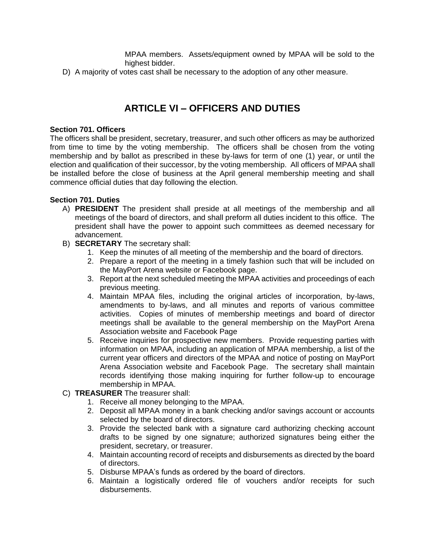MPAA members. Assets/equipment owned by MPAA will be sold to the highest bidder.

D) A majority of votes cast shall be necessary to the adoption of any other measure.

# **ARTICLE VI – OFFICERS AND DUTIES**

### **Section 701. Officers**

The officers shall be president, secretary, treasurer, and such other officers as may be authorized from time to time by the voting membership. The officers shall be chosen from the voting membership and by ballot as prescribed in these by-laws for term of one (1) year, or until the election and qualification of their successor, by the voting membership. All officers of MPAA shall be installed before the close of business at the April general membership meeting and shall commence official duties that day following the election.

# **Section 701. Duties**

- A) **PRESIDENT** The president shall preside at all meetings of the membership and all meetings of the board of directors, and shall preform all duties incident to this office. The president shall have the power to appoint such committees as deemed necessary for advancement.
- B) **SECRETARY** The secretary shall:
	- 1. Keep the minutes of all meeting of the membership and the board of directors.
	- 2. Prepare a report of the meeting in a timely fashion such that will be included on the MayPort Arena website or Facebook page.
	- 3. Report at the next scheduled meeting the MPAA activities and proceedings of each previous meeting.
	- 4. Maintain MPAA files, including the original articles of incorporation, by-laws, amendments to by-laws, and all minutes and reports of various committee activities. Copies of minutes of membership meetings and board of director meetings shall be available to the general membership on the MayPort Arena Association website and Facebook Page
	- 5. Receive inquiries for prospective new members. Provide requesting parties with information on MPAA, including an application of MPAA membership, a list of the current year officers and directors of the MPAA and notice of posting on MayPort Arena Association website and Facebook Page. The secretary shall maintain records identifying those making inquiring for further follow-up to encourage membership in MPAA.

# C) **TREASURER** The treasurer shall:

- 1. Receive all money belonging to the MPAA.
- 2. Deposit all MPAA money in a bank checking and/or savings account or accounts selected by the board of directors.
- 3. Provide the selected bank with a signature card authorizing checking account drafts to be signed by one signature; authorized signatures being either the president, secretary, or treasurer.
- 4. Maintain accounting record of receipts and disbursements as directed by the board of directors.
- 5. Disburse MPAA's funds as ordered by the board of directors.
- 6. Maintain a logistically ordered file of vouchers and/or receipts for such disbursements.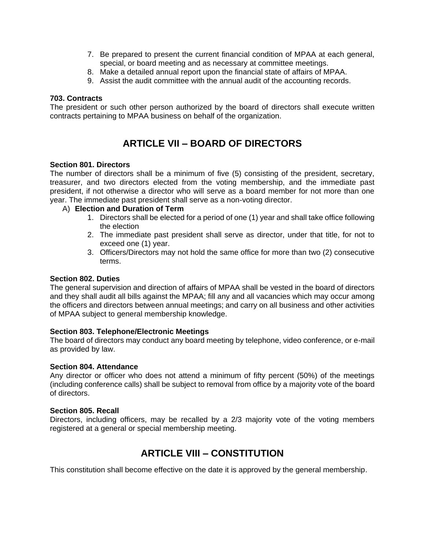- 7. Be prepared to present the current financial condition of MPAA at each general, special, or board meeting and as necessary at committee meetings.
- 8. Make a detailed annual report upon the financial state of affairs of MPAA.
- 9. Assist the audit committee with the annual audit of the accounting records.

### **703. Contracts**

The president or such other person authorized by the board of directors shall execute written contracts pertaining to MPAA business on behalf of the organization.

# **ARTICLE VII – BOARD OF DIRECTORS**

### **Section 801. Directors**

The number of directors shall be a minimum of five (5) consisting of the president, secretary, treasurer, and two directors elected from the voting membership, and the immediate past president, if not otherwise a director who will serve as a board member for not more than one year. The immediate past president shall serve as a non-voting director.

### A) **Election and Duration of Term**

- 1. Directors shall be elected for a period of one (1) year and shall take office following the election
- 2. The immediate past president shall serve as director, under that title, for not to exceed one (1) year.
- 3. Officers/Directors may not hold the same office for more than two (2) consecutive terms.

#### **Section 802. Duties**

The general supervision and direction of affairs of MPAA shall be vested in the board of directors and they shall audit all bills against the MPAA; fill any and all vacancies which may occur among the officers and directors between annual meetings; and carry on all business and other activities of MPAA subject to general membership knowledge.

### **Section 803. Telephone/Electronic Meetings**

The board of directors may conduct any board meeting by telephone, video conference, or e-mail as provided by law.

#### **Section 804. Attendance**

Any director or officer who does not attend a minimum of fifty percent (50%) of the meetings (including conference calls) shall be subject to removal from office by a majority vote of the board of directors.

#### **Section 805. Recall**

Directors, including officers, may be recalled by a 2/3 majority vote of the voting members registered at a general or special membership meeting.

# **ARTICLE VIII – CONSTITUTION**

This constitution shall become effective on the date it is approved by the general membership.